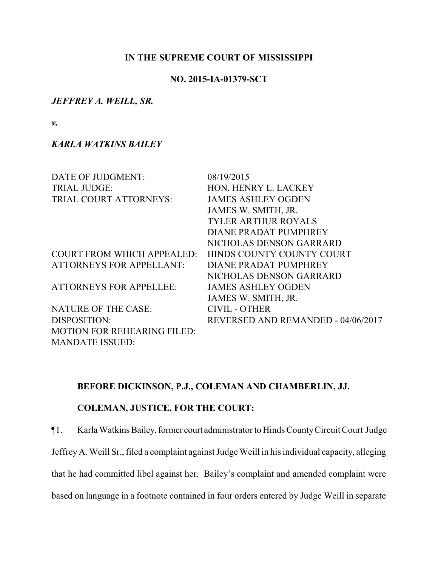## **IN THE SUPREME COURT OF MISSISSIPPI**

## **NO. 2015-IA-01379-SCT**

### *JEFFREY A. WEILL, SR.*

*v.*

# *KARLA WATKINS BAILEY*

| DATE OF JUDGMENT:                  | 08/19/2015                         |
|------------------------------------|------------------------------------|
| <b>TRIAL JUDGE:</b>                | HON. HENRY L. LACKEY               |
| TRIAL COURT ATTORNEYS:             | <b>JAMES ASHLEY OGDEN</b>          |
|                                    | JAMES W. SMITH, JR.                |
|                                    | <b>TYLER ARTHUR ROYALS</b>         |
|                                    | DIANE PRADAT PUMPHREY              |
|                                    | NICHOLAS DENSON GARRARD            |
| <b>COURT FROM WHICH APPEALED:</b>  | HINDS COUNTY COUNTY COURT          |
| <b>ATTORNEYS FOR APPELLANT:</b>    | DIANE PRADAT PUMPHREY              |
|                                    | NICHOLAS DENSON GARRARD            |
| <b>ATTORNEYS FOR APPELLEE:</b>     | <b>JAMES ASHLEY OGDEN</b>          |
|                                    | JAMES W. SMITH, JR.                |
| <b>NATURE OF THE CASE:</b>         | <b>CIVIL - OTHER</b>               |
| DISPOSITION:                       | REVERSED AND REMANDED - 04/06/2017 |
| <b>MOTION FOR REHEARING FILED:</b> |                                    |
| <b>MANDATE ISSUED:</b>             |                                    |

# **BEFORE DICKINSON, P.J., COLEMAN AND CHAMBERLIN, JJ.**

# **COLEMAN, JUSTICE, FOR THE COURT:**

¶1. Karla WatkinsBailey,former court administrator to Hinds CountyCircuit Court Judge

JeffreyA. Weill Sr., filed a complaint against Judge Weill in his individual capacity, alleging

that he had committed libel against her. Bailey's complaint and amended complaint were

based on language in a footnote contained in four orders entered by Judge Weill in separate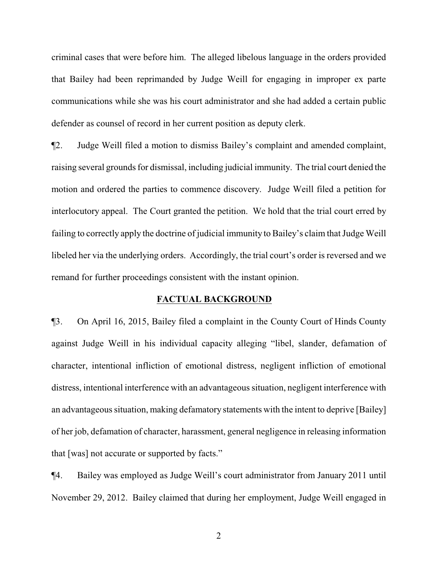criminal cases that were before him. The alleged libelous language in the orders provided that Bailey had been reprimanded by Judge Weill for engaging in improper ex parte communications while she was his court administrator and she had added a certain public defender as counsel of record in her current position as deputy clerk.

¶2. Judge Weill filed a motion to dismiss Bailey's complaint and amended complaint, raising several grounds for dismissal, including judicial immunity. The trial court denied the motion and ordered the parties to commence discovery. Judge Weill filed a petition for interlocutory appeal. The Court granted the petition. We hold that the trial court erred by failing to correctly apply the doctrine of judicial immunity to Bailey's claim that Judge Weill libeled her via the underlying orders. Accordingly, the trial court's order is reversed and we remand for further proceedings consistent with the instant opinion.

### **FACTUAL BACKGROUND**

¶3. On April 16, 2015, Bailey filed a complaint in the County Court of Hinds County against Judge Weill in his individual capacity alleging "libel, slander, defamation of character, intentional infliction of emotional distress, negligent infliction of emotional distress, intentional interference with an advantageous situation, negligent interference with an advantageous situation, making defamatory statements with the intent to deprive [Bailey] of her job, defamation of character, harassment, general negligence in releasing information that [was] not accurate or supported by facts."

¶4. Bailey was employed as Judge Weill's court administrator from January 2011 until November 29, 2012. Bailey claimed that during her employment, Judge Weill engaged in

2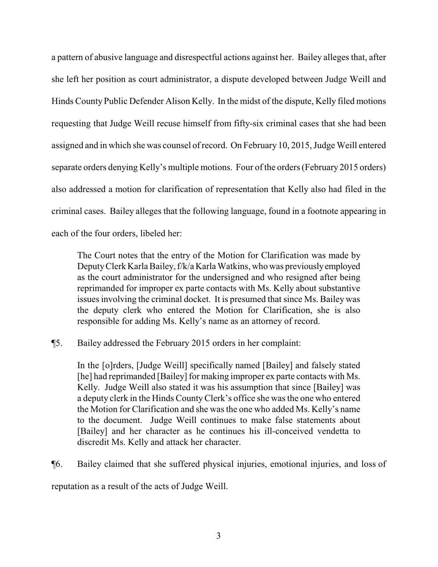a pattern of abusive language and disrespectful actions against her. Bailey alleges that, after she left her position as court administrator, a dispute developed between Judge Weill and Hinds County Public Defender Alison Kelly. In the midst of the dispute, Kelly filed motions requesting that Judge Weill recuse himself from fifty-six criminal cases that she had been assigned and in which she was counsel of record. On February 10, 2015, Judge Weill entered separate orders denying Kelly's multiple motions. Four of the orders (February 2015 orders) also addressed a motion for clarification of representation that Kelly also had filed in the criminal cases. Bailey alleges that the following language, found in a footnote appearing in each of the four orders, libeled her:

The Court notes that the entry of the Motion for Clarification was made by DeputyClerk Karla Bailey,f/k/a Karla Watkins, who was previouslyemployed as the court administrator for the undersigned and who resigned after being reprimanded for improper ex parte contacts with Ms. Kelly about substantive issues involving the criminal docket. It is presumed that since Ms. Bailey was the deputy clerk who entered the Motion for Clarification, she is also responsible for adding Ms. Kelly's name as an attorney of record.

¶5. Bailey addressed the February 2015 orders in her complaint:

In the [o]rders, [Judge Weill] specifically named [Bailey] and falsely stated [he] had reprimanded [Bailey] for making improper ex parte contacts with Ms. Kelly. Judge Weill also stated it was his assumption that since [Bailey] was a deputy clerk in the Hinds CountyClerk's office she was the one who entered the Motion for Clarification and she was the one who added Ms. Kelly's name to the document. Judge Weill continues to make false statements about [Bailey] and her character as he continues his ill-conceived vendetta to discredit Ms. Kelly and attack her character.

¶6. Bailey claimed that she suffered physical injuries, emotional injuries, and loss of reputation as a result of the acts of Judge Weill.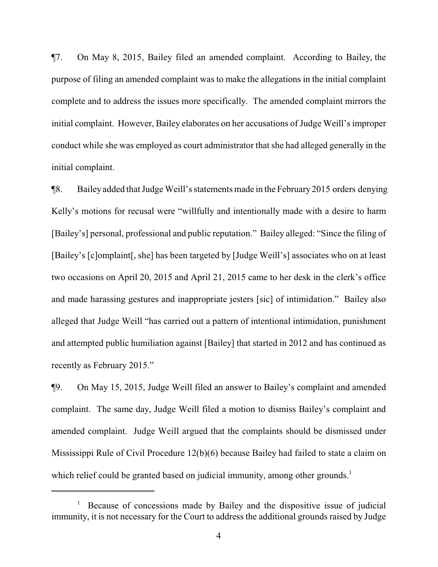¶7. On May 8, 2015, Bailey filed an amended complaint. According to Bailey, the purpose of filing an amended complaint was to make the allegations in the initial complaint complete and to address the issues more specifically. The amended complaint mirrors the initial complaint. However, Bailey elaborates on her accusations of Judge Weill's improper conduct while she was employed as court administrator that she had alleged generally in the initial complaint.

¶8. Bailey added that Judge Weill's statements made in the February 2015 orders denying Kelly's motions for recusal were "willfully and intentionally made with a desire to harm [Bailey's] personal, professional and public reputation." Bailey alleged: "Since the filing of [Bailey's [c]omplaint[, she] has been targeted by [Judge Weill's] associates who on at least two occasions on April 20, 2015 and April 21, 2015 came to her desk in the clerk's office and made harassing gestures and inappropriate jesters [sic] of intimidation." Bailey also alleged that Judge Weill "has carried out a pattern of intentional intimidation, punishment and attempted public humiliation against [Bailey] that started in 2012 and has continued as recently as February 2015."

¶9. On May 15, 2015, Judge Weill filed an answer to Bailey's complaint and amended complaint. The same day, Judge Weill filed a motion to dismiss Bailey's complaint and amended complaint. Judge Weill argued that the complaints should be dismissed under Mississippi Rule of Civil Procedure 12(b)(6) because Bailey had failed to state a claim on which relief could be granted based on judicial immunity, among other grounds.<sup>1</sup>

<sup>&</sup>lt;sup>1</sup> Because of concessions made by Bailey and the dispositive issue of judicial immunity, it is not necessary for the Court to address the additional grounds raised by Judge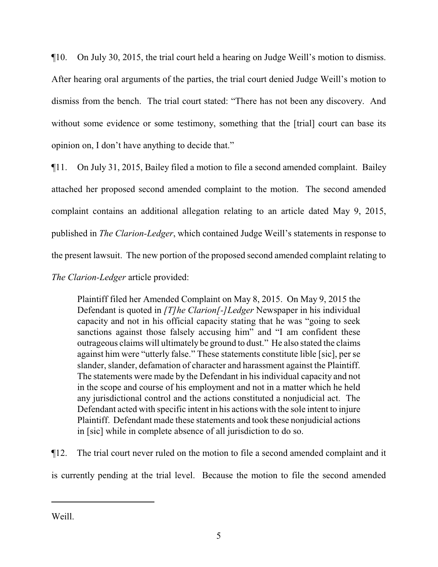¶10. On July 30, 2015, the trial court held a hearing on Judge Weill's motion to dismiss. After hearing oral arguments of the parties, the trial court denied Judge Weill's motion to dismiss from the bench. The trial court stated: "There has not been any discovery. And without some evidence or some testimony, something that the [trial] court can base its opinion on, I don't have anything to decide that."

¶11. On July 31, 2015, Bailey filed a motion to file a second amended complaint. Bailey attached her proposed second amended complaint to the motion. The second amended complaint contains an additional allegation relating to an article dated May 9, 2015, published in *The Clarion-Ledger*, which contained Judge Weill's statements in response to the present lawsuit. The new portion of the proposed second amended complaint relating to *The Clarion-Ledger* article provided:

Plaintiff filed her Amended Complaint on May 8, 2015. On May 9, 2015 the Defendant is quoted in *[T]he Clarion[-]Ledger* Newspaper in his individual capacity and not in his official capacity stating that he was "going to seek sanctions against those falsely accusing him" and "I am confident these outrageous claims will ultimately be ground to dust." He also stated the claims against him were "utterly false." These statements constitute lible [sic], per se slander, slander, defamation of character and harassment against the Plaintiff. The statements were made by the Defendant in his individual capacity and not in the scope and course of his employment and not in a matter which he held any jurisdictional control and the actions constituted a nonjudicial act. The Defendant acted with specific intent in his actions with the sole intent to injure Plaintiff. Defendant made these statements and took these nonjudicial actions in [sic] while in complete absence of all jurisdiction to do so.

¶12. The trial court never ruled on the motion to file a second amended complaint and it is currently pending at the trial level. Because the motion to file the second amended

Weill.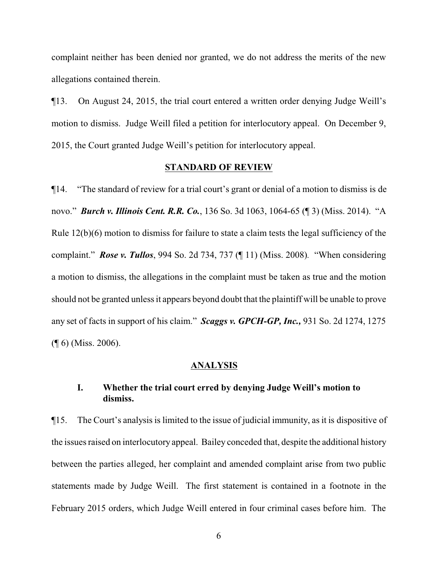complaint neither has been denied nor granted, we do not address the merits of the new allegations contained therein.

¶13. On August 24, 2015, the trial court entered a written order denying Judge Weill's motion to dismiss. Judge Weill filed a petition for interlocutory appeal. On December 9, 2015, the Court granted Judge Weill's petition for interlocutory appeal.

#### **STANDARD OF REVIEW**

¶14. "The standard of review for a trial court's grant or denial of a motion to dismiss is de novo." *Burch v. Illinois Cent. R.R. Co.*, 136 So. 3d 1063, 1064-65 (¶ 3) (Miss. 2014). "A Rule 12(b)(6) motion to dismiss for failure to state a claim tests the legal sufficiency of the complaint." *Rose v. Tullos*, 994 So. 2d 734, 737 (¶ 11) (Miss. 2008)*.* "When considering a motion to dismiss, the allegations in the complaint must be taken as true and the motion should not be granted unless it appears beyond doubt that the plaintiff will be unable to prove any set of facts in support of his claim." *Scaggs v. GPCH-GP, Inc.,* 931 So. 2d 1274, 1275 (¶ 6) (Miss. 2006).

#### **ANALYSIS**

# **I. Whether the trial court erred by denying Judge Weill's motion to dismiss.**

¶15. The Court's analysis is limited to the issue of judicial immunity, as it is dispositive of the issues raised on interlocutory appeal. Bailey conceded that, despite the additional history between the parties alleged, her complaint and amended complaint arise from two public statements made by Judge Weill. The first statement is contained in a footnote in the February 2015 orders, which Judge Weill entered in four criminal cases before him. The

6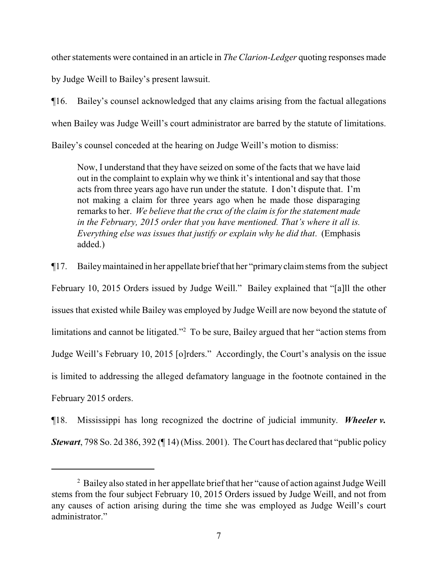other statements were contained in an article in *The Clarion-Ledger* quoting responses made

by Judge Weill to Bailey's present lawsuit.

¶16. Bailey's counsel acknowledged that any claims arising from the factual allegations when Bailey was Judge Weill's court administrator are barred by the statute of limitations. Bailey's counsel conceded at the hearing on Judge Weill's motion to dismiss:

Now, I understand that they have seized on some of the facts that we have laid out in the complaint to explain why we think it's intentional and say that those acts from three years ago have run under the statute. I don't dispute that. I'm not making a claim for three years ago when he made those disparaging remarks to her. *We believe that the crux of the claim is for the statement made in the February, 2015 order that you have mentioned. That's where it all is. Everything else was issues that justify or explain why he did that*. (Emphasis added.)

¶17. Baileymaintained in her appellate briefthat her "primaryclaimstems from the subject February 10, 2015 Orders issued by Judge Weill." Bailey explained that "[a]ll the other issues that existed while Bailey was employed by Judge Weill are now beyond the statute of limitations and cannot be litigated."<sup>2</sup> To be sure, Bailey argued that her "action stems from Judge Weill's February 10, 2015 [o]rders." Accordingly, the Court's analysis on the issue is limited to addressing the alleged defamatory language in the footnote contained in the February 2015 orders.

¶18. Mississippi has long recognized the doctrine of judicial immunity. *Wheeler v. Stewart*, 798 So. 2d 386, 392 (¶ 14) (Miss. 2001). The Court has declared that "public policy

<sup>&</sup>lt;sup>2</sup> Bailey also stated in her appellate brief that her "cause of action against Judge Weill stems from the four subject February 10, 2015 Orders issued by Judge Weill, and not from any causes of action arising during the time she was employed as Judge Weill's court administrator."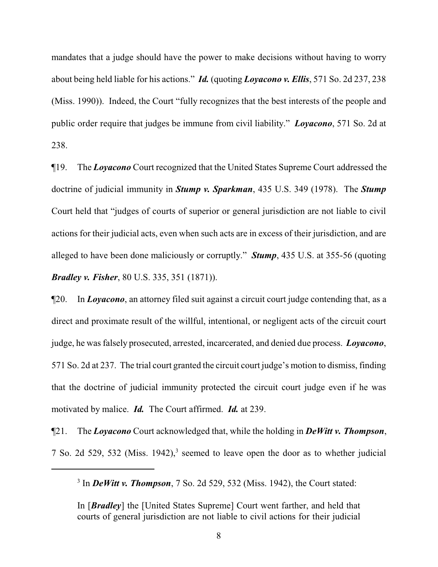mandates that a judge should have the power to make decisions without having to worry about being held liable for his actions." *Id.* (quoting *Loyacono v. Ellis*, 571 So. 2d 237, 238 (Miss. 1990)). Indeed, the Court "fully recognizes that the best interests of the people and public order require that judges be immune from civil liability." *Loyacono*, 571 So. 2d at 238.

¶19. The *Loyacono* Court recognized that the United States Supreme Court addressed the doctrine of judicial immunity in *Stump v. Sparkman*, 435 U.S. 349 (1978). The *Stump* Court held that "judges of courts of superior or general jurisdiction are not liable to civil actions for their judicial acts, even when such acts are in excess of their jurisdiction, and are alleged to have been done maliciously or corruptly." *Stump*, 435 U.S. at 355-56 (quoting *Bradley v. Fisher*, 80 U.S. 335, 351 (1871)).

¶20. In *Loyacono*, an attorney filed suit against a circuit court judge contending that, as a direct and proximate result of the willful, intentional, or negligent acts of the circuit court judge, he was falsely prosecuted, arrested, incarcerated, and denied due process. *Loyacono*, 571 So. 2d at 237. The trial court granted the circuit court judge's motion to dismiss, finding that the doctrine of judicial immunity protected the circuit court judge even if he was motivated by malice. *Id.* The Court affirmed. *Id.* at 239.

¶21. The *Loyacono* Court acknowledged that, while the holding in *DeWitt v. Thompson*, 7 So. 2d 529, 532 (Miss. 1942),<sup>3</sup> seemed to leave open the door as to whether judicial

<sup>3</sup> In *DeWitt v. Thompson*, 7 So. 2d 529, 532 (Miss. 1942), the Court stated:

In [*Bradley*] the [United States Supreme] Court went farther, and held that courts of general jurisdiction are not liable to civil actions for their judicial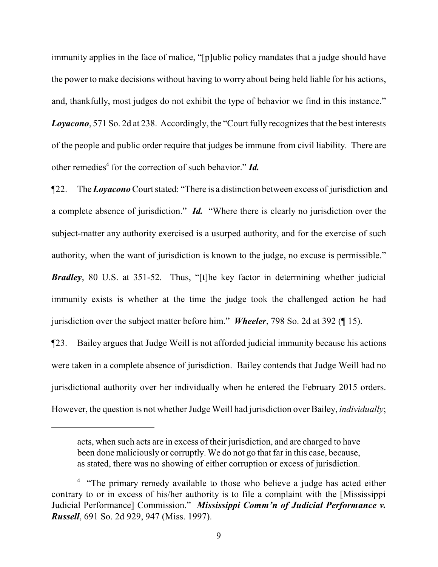immunity applies in the face of malice, "[p]ublic policy mandates that a judge should have the power to make decisions without having to worry about being held liable for his actions, and, thankfully, most judges do not exhibit the type of behavior we find in this instance." *Loyacono*, 571 So. 2d at 238. Accordingly, the "Court fully recognizes that the best interests of the people and public order require that judges be immune from civil liability. There are other remedies<sup>4</sup> for the correction of such behavior." *Id.* 

¶22. The *Loyacono* Court stated: "There is a distinction between excess of jurisdiction and a complete absence of jurisdiction." *Id.* "Where there is clearly no jurisdiction over the subject-matter any authority exercised is a usurped authority, and for the exercise of such authority, when the want of jurisdiction is known to the judge, no excuse is permissible." *Bradley*, 80 U.S. at 351-52. Thus, "[t]he key factor in determining whether judicial immunity exists is whether at the time the judge took the challenged action he had jurisdiction over the subject matter before him." *Wheeler*, 798 So. 2d at 392 (¶ 15).

¶23. Bailey argues that Judge Weill is not afforded judicial immunity because his actions were taken in a complete absence of jurisdiction. Bailey contends that Judge Weill had no jurisdictional authority over her individually when he entered the February 2015 orders. However, the question is not whether Judge Weill had jurisdiction over Bailey, *individually*;

acts, when such acts are in excess of their jurisdiction, and are charged to have been done maliciously or corruptly. We do not go that far in this case, because, as stated, there was no showing of either corruption or excess of jurisdiction.

<sup>&</sup>lt;sup>4</sup> "The primary remedy available to those who believe a judge has acted either contrary to or in excess of his/her authority is to file a complaint with the [Mississippi Judicial Performance] Commission." *Mississippi Comm'n of Judicial Performance v. Russell*, 691 So. 2d 929, 947 (Miss. 1997).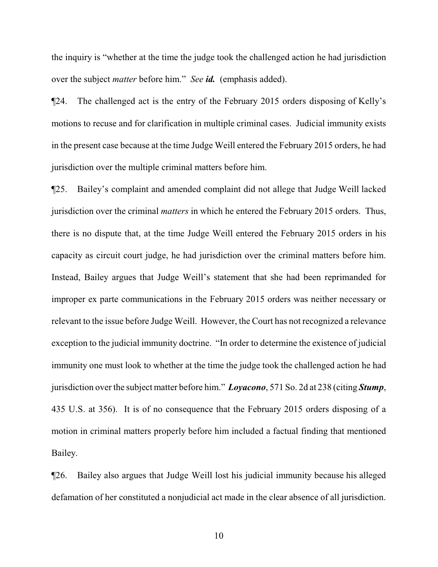the inquiry is "whether at the time the judge took the challenged action he had jurisdiction over the subject *matter* before him." *See id.* (emphasis added).

¶24. The challenged act is the entry of the February 2015 orders disposing of Kelly's motions to recuse and for clarification in multiple criminal cases. Judicial immunity exists in the present case because at the time Judge Weill entered the February 2015 orders, he had jurisdiction over the multiple criminal matters before him.

¶25. Bailey's complaint and amended complaint did not allege that Judge Weill lacked jurisdiction over the criminal *matters* in which he entered the February 2015 orders. Thus, there is no dispute that, at the time Judge Weill entered the February 2015 orders in his capacity as circuit court judge, he had jurisdiction over the criminal matters before him. Instead, Bailey argues that Judge Weill's statement that she had been reprimanded for improper ex parte communications in the February 2015 orders was neither necessary or relevant to the issue before Judge Weill. However, the Court has not recognized a relevance exception to the judicial immunity doctrine. "In order to determine the existence of judicial immunity one must look to whether at the time the judge took the challenged action he had jurisdiction over the subject matter before him." *Loyacono*, 571 So. 2d at 238 (citing *Stump*, 435 U.S. at 356). It is of no consequence that the February 2015 orders disposing of a motion in criminal matters properly before him included a factual finding that mentioned Bailey.

¶26. Bailey also argues that Judge Weill lost his judicial immunity because his alleged defamation of her constituted a nonjudicial act made in the clear absence of all jurisdiction.

10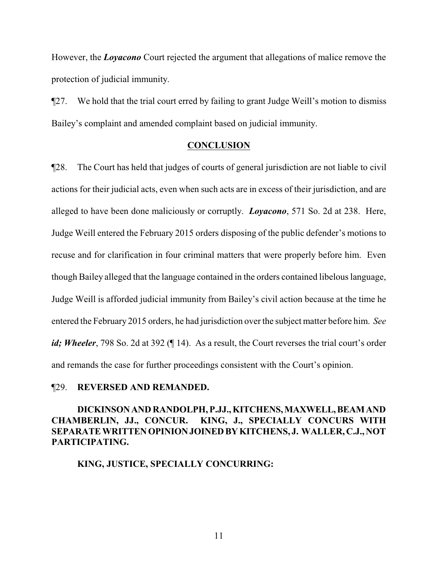However, the *Loyacono* Court rejected the argument that allegations of malice remove the protection of judicial immunity.

¶27. We hold that the trial court erred by failing to grant Judge Weill's motion to dismiss Bailey's complaint and amended complaint based on judicial immunity.

#### **CONCLUSION**

¶28. The Court has held that judges of courts of general jurisdiction are not liable to civil actions for their judicial acts, even when such acts are in excess of their jurisdiction, and are alleged to have been done maliciously or corruptly. *Loyacono*, 571 So. 2d at 238. Here, Judge Weill entered the February 2015 orders disposing of the public defender's motions to recuse and for clarification in four criminal matters that were properly before him. Even though Bailey alleged that the language contained in the orders contained libelous language, Judge Weill is afforded judicial immunity from Bailey's civil action because at the time he entered the February 2015 orders, he had jurisdiction over the subject matter before him. *See id*; *Wheeler*, 798 So. 2d at 392 (¶ 14). As a result, the Court reverses the trial court's order and remands the case for further proceedings consistent with the Court's opinion.

### ¶29. **REVERSED AND REMANDED.**

# **DICKINSONAND RANDOLPH, P.JJ., KITCHENS,MAXWELL,BEAMAND CHAMBERLIN, JJ., CONCUR. KING, J., SPECIALLY CONCURS WITH SEPARATE WRITTENOPINIONJOINEDBYKITCHENS, J. WALLER, C.J., NOT PARTICIPATING.**

**KING, JUSTICE, SPECIALLY CONCURRING:**